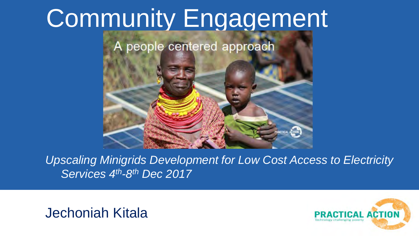# Community Engagement



*Upscaling Minigrids Development for Low Cost Access to Electricity Services 4th-8th Dec 2017*

Jechoniah Kitala

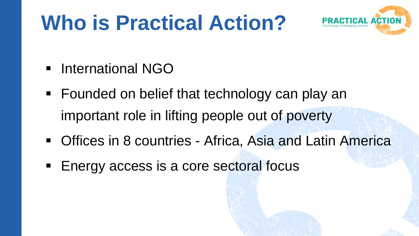## **Who is Practical Action?**



- **International NGO**
- Founded on belief that technology can play an important role in lifting people out of poverty
- **Offices in 8 countries Africa, Asia and Latin America**
- Energy access is a core sectoral focus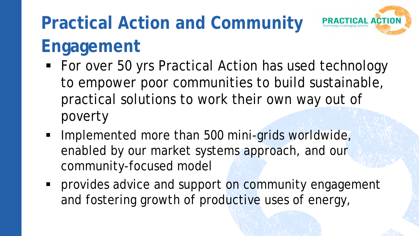### **Practical Action and Community Engagement**



- **Implemented more than 500 mini-grids worldwide,** enabled by our market systems approach, and our community-focused model
- **Perovides advice and support on community engagement** and fostering growth of productive uses of energy,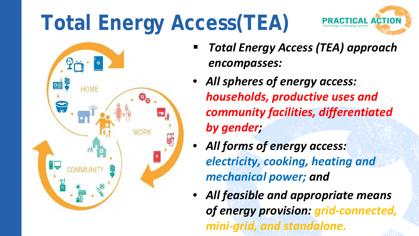# **Total Energy Access(TEA)**





- *Total Energy Access (TEA) approach encompasses:*
- *All spheres of energy access: households, productive uses and community facilities, differentiated by gender;*
- *All forms of energy access: electricity, cooking, heating and mechanical power; and*
- *All feasible and appropriate means of energy provision: grid-connected, mini-grid, and standalone.*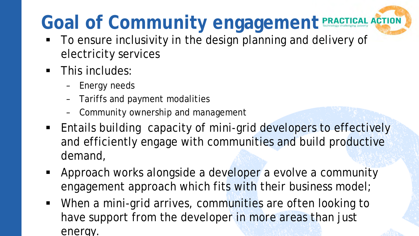## Goal of Community engagement **PRACTICAL ACTION**

- To ensure inclusivity in the design planning and delivery of electricity services
- **This includes:** 
	- Energy needs
	- Tariffs and payment modalities
	- Community ownership and management
- **Entails building capacity of mini-grid developers to effectively** and efficiently engage with communities and build productive demand,
- **Approach works alongside a developer a evolve a community** engagement approach which fits with their business model;
- When a mini-grid arrives, communities are often looking to have support from the developer in more areas than just energy.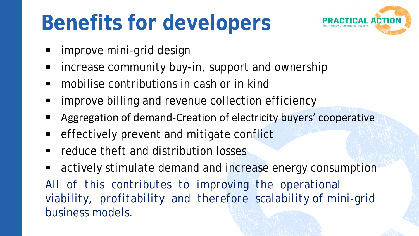## **Benefits for developers**



- **F** improve mini-grid design
- **EXT** increase community buy-in, support and ownership
- mobilise contributions in cash or in kind
- **F** improve billing and revenue collection efficiency
- Aggregation of demand-Creation of electricity buyers' cooperative
- **EXA** effectively prevent and mitigate conflict
- **F** reduce theft and distribution losses
- **EXECT** actively stimulate demand and increase energy consumption All of this contributes to improving the operational *viability, profitability and therefore scalability of mini-grid business models.*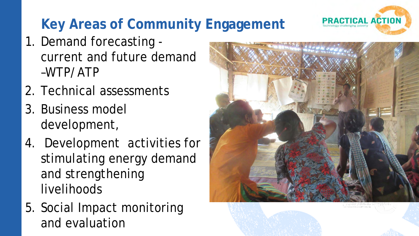#### **Key Areas of Community Engagement**

- 1. Demand forecasting current and future demand –WTP/ATP
- 2. Technical assessments
- 3. Business model development,
- 4. Development activities for stimulating energy demand and strengthening livelihoods
- 5. Social Impact monitoring and evaluation





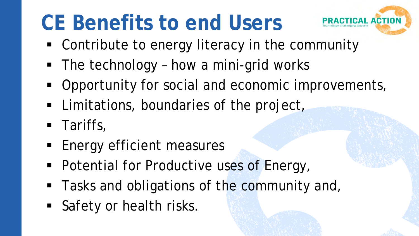## **CE Benefits to end Users**



- Contribute to energy literacy in the community
- The technology how a mini-grid works
- **-** Opportunity for social and economic improvements,
- **EXTERGER** Limitations, boundaries of the project,
- **Tariffs,**
- **Energy efficient measures**
- **Potential for Productive uses of Energy,**
- Tasks and obligations of the community and,
- Safety or health risks.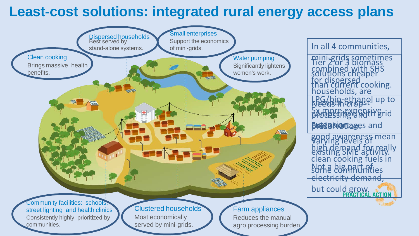#### **Least-cost solutions: integrated rural energy access plans**

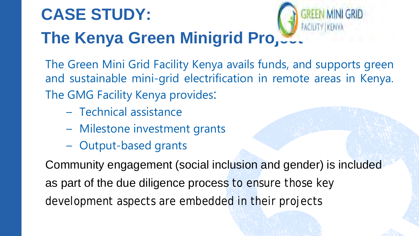### **CASE STUDY: The Kenya Green Minigrid Pro,.**

The Green Mini Grid Facility Kenya avails funds, and supports green and sustainable mini-grid electrification in remote areas in Kenya. The GMG Facility Kenya provides:

- Technical assistance
- Milestone investment grants
- Output-based grants

Community engagement (social inclusion and gender) is included as part of the due diligence process to ensure those key development aspects are embedded in their projects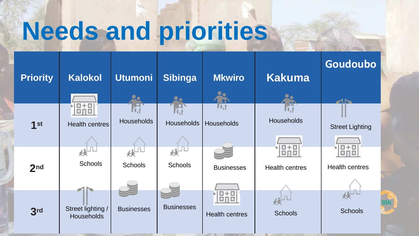# **Needs and priorities**

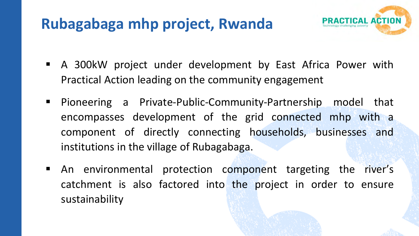#### **Rubagabaga mhp project, Rwanda**



- A 300kW project under development by East Africa Power with Practical Action leading on the community engagement
- Pioneering a Private-Public-Community-Partnership model that encompasses development of the grid connected mhp with a component of directly connecting households, businesses and institutions in the village of Rubagabaga.
- An environmental protection component targeting the river's catchment is also factored into the project in order to ensure sustainability